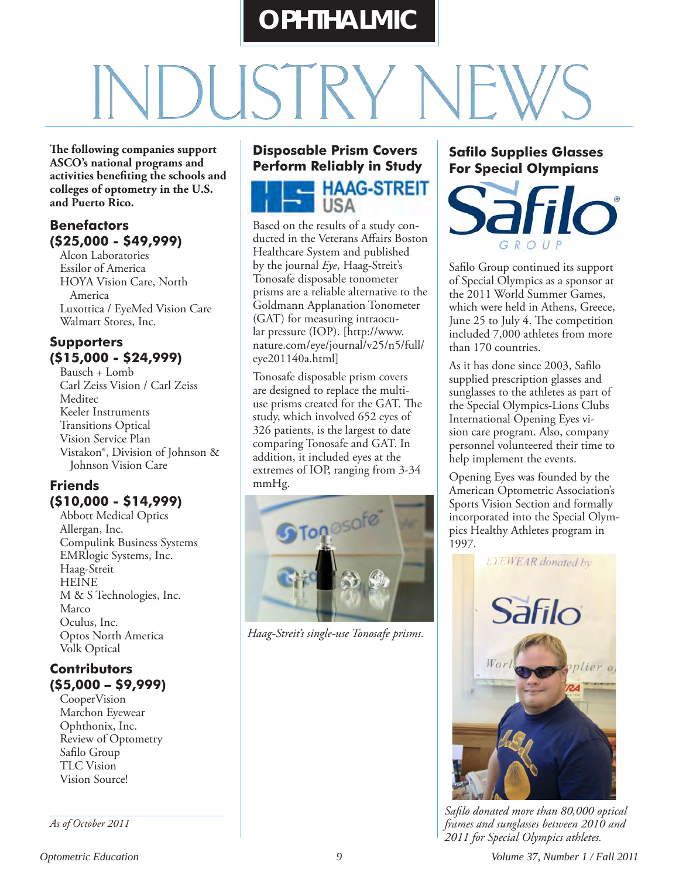# **OPHTHALMIC**

**The following companies support ASCO's national programs and activities benefiting the schools and colleges of optometry in the U.S. and Puerto Rico.**

#### **Benefactors (\$25,000 - \$49,999)**

Alcon Laboratories Essilor of America HOYA Vision Care, North America Luxottica / EyeMed Vision Care Walmart Stores, Inc.

#### **Supporters (\$15,000 - \$24,999)**

Bausch + Lomb Carl Zeiss Vision / Carl Zeiss Meditec Keeler Instruments Transitions Optical Vision Service Plan Vistakon®, Division of Johnson & Johnson Vision Care

#### **Friends (\$10,000 - \$14,999)**

Abbott Medical Optics Allergan, Inc. Compulink Business Systems EMRlogic Systems, Inc. Haag-Streit **HEINE** M & S Technologies, Inc. Marco Oculus, Inc. Optos North America Volk Optical

#### **Contributors (\$5,000 – \$9,999)**

CooperVision Marchon Eyewear Ophthonix, Inc. Review of Optometry Safilo Group TLC Vision Vision Source!

*As of October 2011*

#### **Disposable Prism Covers Perform Reliably in Study**



Based on the results of a study conducted in the Veterans Affairs Boston Healthcare System and published by the journal *Eye*, Haag-Streit's Tonosafe disposable tonometer prisms are a reliable alternative to the Goldmann Applanation Tonometer (GAT) for measuring intraocular pressure (IOP). [http://www. nature.com/eye/journal/v25/n5/full/ eye201140a.html]

Tonosafe disposable prism covers are designed to replace the multiuse prisms created for the GAT. The study, which involved 652 eyes of 326 patients, is the largest to date comparing Tonosafe and GAT. In addition, it included eyes at the extremes of IOP, ranging from 3-34 mmHg.



*Haag-Streit's single-use Tonosafe prisms.*

#### **Safilo Supplies Glasses For Special Olympians**



Safilo Group continued its support of Special Olympics as a sponsor at the 2011 World Summer Games, which were held in Athens, Greece, June 25 to July 4. The competition included 7,000 athletes from more than 170 countries.

As it has done since 2003, Safilo supplied prescription glasses and sunglasses to the athletes as part of the Special Olympics-Lions Clubs International Opening Eyes vision care program. Also, company personnel volunteered their time to help implement the events.

Opening Eyes was founded by the American Optometric Association's Sports Vision Section and formally incorporated into the Special Olympics Healthy Athletes program in 1997.



*Safilo donated more than 80,000 optical frames and sunglasses between 2010 and 2011 for Special Olympics athletes.*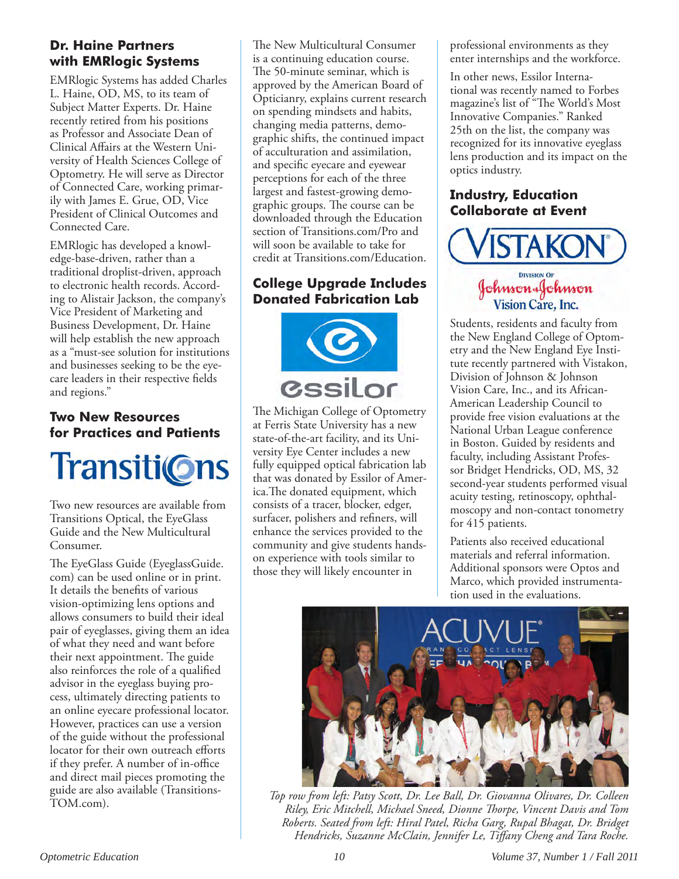#### **Dr. Haine Partners with EMRlogic Systems**

EMRlogic Systems has added Charles L. Haine, OD, MS, to its team of Subject Matter Experts. Dr. Haine recently retired from his positions as Professor and Associate Dean of Clinical Affairs at the Western University of Health Sciences College of Optometry. He will serve as Director of Connected Care, working primarily with James E. Grue, OD, Vice President of Clinical Outcomes and Connected Care.

EMRlogic has developed a knowledge-base-driven, rather than a traditional droplist-driven, approach to electronic health records. According to Alistair Jackson, the company's Vice President of Marketing and Business Development, Dr. Haine will help establish the new approach as a "must-see solution for institutions and businesses seeking to be the eyecare leaders in their respective fields and regions."

#### **Two New Resources for Practices and Patients**



Two new resources are available from Transitions Optical, the EyeGlass Guide and the New Multicultural Consumer.

The EyeGlass Guide (EyeglassGuide. com) can be used online or in print. It details the benefits of various vision-optimizing lens options and allows consumers to build their ideal pair of eyeglasses, giving them an idea of what they need and want before their next appointment. The guide also reinforces the role of a qualified advisor in the eyeglass buying process, ultimately directing patients to an online eyecare professional locator. However, practices can use a version of the guide without the professional locator for their own outreach efforts if they prefer. A number of in-office and direct mail pieces promoting the guide are also available (Transitions-TOM.com).

The New Multicultural Consumer is a continuing education course. The 50-minute seminar, which is approved by the American Board of Opticianry, explains current research on spending mindsets and habits, changing media patterns, demographic shifts, the continued impact of acculturation and assimilation, and specific eyecare and eyewear perceptions for each of the three largest and fastest-growing demographic groups. The course can be downloaded through the Education section of Transitions.com/Pro and will soon be available to take for credit at Transitions.com/Education.

#### **College Upgrade Includes Donated Fabrication Lab**



The Michigan College of Optometry at Ferris State University has a new state-of-the-art facility, and its University Eye Center includes a new fully equipped optical fabrication lab that was donated by Essilor of America.The donated equipment, which consists of a tracer, blocker, edger, surfacer, polishers and refiners, will enhance the services provided to the community and give students handson experience with tools similar to those they will likely encounter in

professional environments as they enter internships and the workforce.

In other news, Essilor International was recently named to Forbes magazine's list of "The World's Most Innovative Companies." Ranked 25th on the list, the company was recognized for its innovative eyeglass lens production and its impact on the optics industry.

#### **Industry, Education Collaborate at Event**



## Johnson&Johnson Vision Care, Inc.

Students, residents and faculty from the New England College of Optometry and the New England Eye Institute recently partnered with Vistakon, Division of Johnson & Johnson Vision Care, Inc., and its African-American Leadership Council to provide free vision evaluations at the National Urban League conference in Boston. Guided by residents and faculty, including Assistant Professor Bridget Hendricks, OD, MS, 32 second-year students performed visual acuity testing, retinoscopy, ophthalmoscopy and non-contact tonometry for 415 patients.

Patients also received educational materials and referral information. Additional sponsors were Optos and Marco, which provided instrumentation used in the evaluations.



*Top row from left: Patsy Scott, Dr. Lee Ball, Dr. Giovanna Olivares, Dr. Colleen Riley, Eric Mitchell, Michael Sneed, Dionne Thorpe, Vincent Davis and Tom Roberts. Seated from left: Hiral Patel, Richa Garg, Rupal Bhagat, Dr. Bridget Hendricks, Suzanne McClain, Jennifer Le, Tiffany Cheng and Tara Roche.*